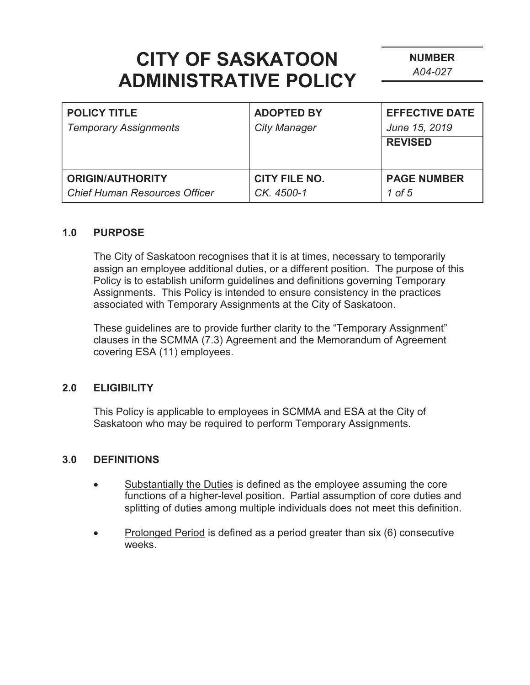**NUMBER**  *A04-027* 

| <b>POLICY TITLE</b><br><b>Temporary Assignments</b> | <b>ADOPTED BY</b><br><b>City Manager</b> | <b>EFFECTIVE DATE</b><br>June 15, 2019<br><b>REVISED</b> |
|-----------------------------------------------------|------------------------------------------|----------------------------------------------------------|
| <b>ORIGIN/AUTHORITY</b>                             | <b>CITY FILE NO.</b>                     | <b>PAGE NUMBER</b>                                       |
| Chief Human Resources Officer                       | CK. 4500-1                               | 1 of 5                                                   |

#### **1.0 PURPOSE**

The City of Saskatoon recognises that it is at times, necessary to temporarily assign an employee additional duties, or a different position. The purpose of this Policy is to establish uniform guidelines and definitions governing Temporary Assignments. This Policy is intended to ensure consistency in the practices associated with Temporary Assignments at the City of Saskatoon.

These guidelines are to provide further clarity to the "Temporary Assignment" clauses in the SCMMA (7.3) Agreement and the Memorandum of Agreement covering ESA (11) employees.

#### **2.0 ELIGIBILITY**

This Policy is applicable to employees in SCMMA and ESA at the City of Saskatoon who may be required to perform Temporary Assignments.

#### **3.0 DEFINITIONS**

- Substantially the Duties is defined as the employee assuming the core functions of a higher-level position. Partial assumption of core duties and splitting of duties among multiple individuals does not meet this definition.
- Prolonged Period is defined as a period greater than six (6) consecutive weeks.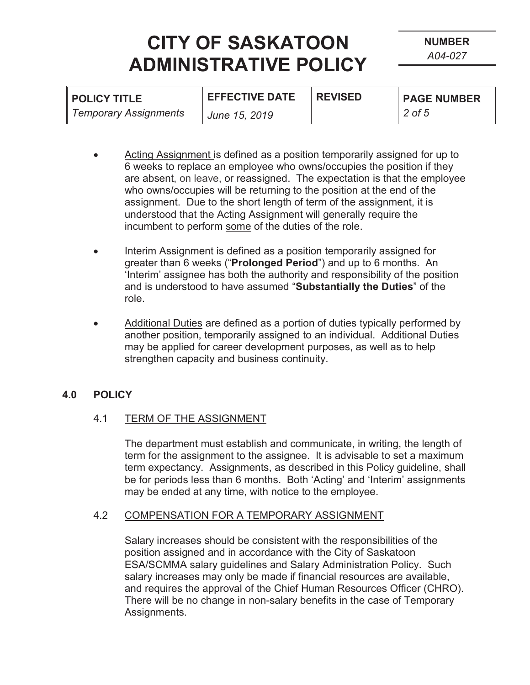| <b>POLICY TITLE</b>          | <b>EFFECTIVE DATE</b> | <b>REVISED</b> | <b>PAGE NUMBER</b> |
|------------------------------|-----------------------|----------------|--------------------|
| <b>Temporary Assignments</b> | June 15, 2019         |                | 2 of 5             |

- Acting Assignment is defined as a position temporarily assigned for up to 6 weeks to replace an employee who owns/occupies the position if they are absent, on leave, or reassigned. The expectation is that the employee who owns/occupies will be returning to the position at the end of the assignment. Due to the short length of term of the assignment, it is understood that the Acting Assignment will generally require the incumbent to perform some of the duties of the role.
- Interim Assignment is defined as a position temporarily assigned for greater than 6 weeks ("**Prolonged Period**") and up to 6 months. An 'Interim' assignee has both the authority and responsibility of the position and is understood to have assumed "**Substantially the Duties**" of the role.
- Additional Duties are defined as a portion of duties typically performed by another position, temporarily assigned to an individual. Additional Duties may be applied for career development purposes, as well as to help strengthen capacity and business continuity.

### **4.0 POLICY**

#### 4.1 TERM OF THE ASSIGNMENT

The department must establish and communicate, in writing, the length of term for the assignment to the assignee. It is advisable to set a maximum term expectancy. Assignments, as described in this Policy guideline, shall be for periods less than 6 months. Both 'Acting' and 'Interim' assignments may be ended at any time, with notice to the employee.

#### 4.2 COMPENSATION FOR A TEMPORARY ASSIGNMENT

Salary increases should be consistent with the responsibilities of the position assigned and in accordance with the City of Saskatoon ESA/SCMMA salary guidelines and Salary Administration Policy. Such salary increases may only be made if financial resources are available, and requires the approval of the Chief Human Resources Officer (CHRO). There will be no change in non-salary benefits in the case of Temporary Assignments.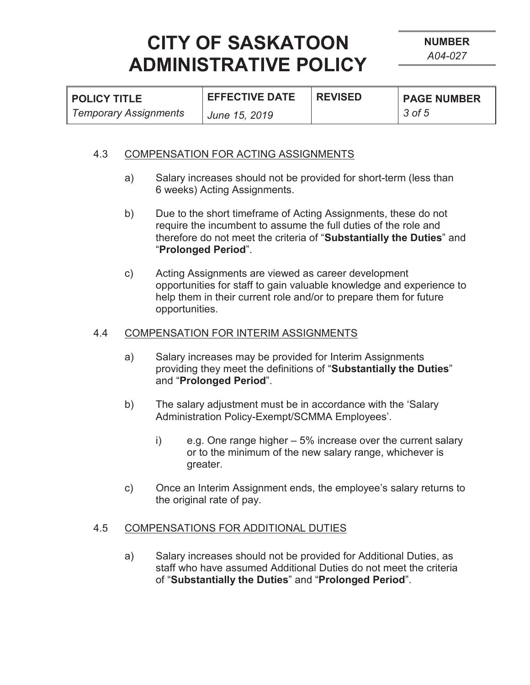| I POLICY TITLE        | <b>EFFECTIVE DATE</b> | <b>REVISED</b> | <b>PAGE NUMBER</b> |
|-----------------------|-----------------------|----------------|--------------------|
| Temporary Assignments | June 15, 2019         |                | 3 of 5             |

#### 4.3 COMPENSATION FOR ACTING ASSIGNMENTS

- a) Salary increases should not be provided for short-term (less than 6 weeks) Acting Assignments.
- b) Due to the short timeframe of Acting Assignments, these do not require the incumbent to assume the full duties of the role and therefore do not meet the criteria of "**Substantially the Duties**" and "**Prolonged Period**".
- c) Acting Assignments are viewed as career development opportunities for staff to gain valuable knowledge and experience to help them in their current role and/or to prepare them for future opportunities.

#### 4.4 COMPENSATION FOR INTERIM ASSIGNMENTS

- a) Salary increases may be provided for Interim Assignments providing they meet the definitions of "**Substantially the Duties**" and "**Prolonged Period**".
- b) The salary adjustment must be in accordance with the 'Salary Administration Policy-Exempt/SCMMA Employees'.
	- i) e.g. One range higher 5% increase over the current salary or to the minimum of the new salary range, whichever is greater.
- c) Once an Interim Assignment ends, the employee's salary returns to the original rate of pay.

#### 4.5 COMPENSATIONS FOR ADDITIONAL DUTIES

a) Salary increases should not be provided for Additional Duties, as staff who have assumed Additional Duties do not meet the criteria of "**Substantially the Duties**" and "**Prolonged Period**".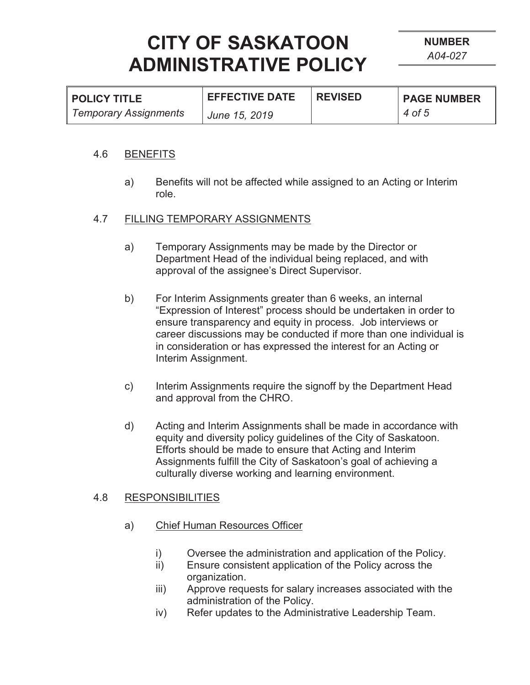| <b>POLICY TITLE</b>          | <b>EFFECTIVE DATE</b> | <b>REVISED</b> | <b>PAGE NUMBER</b> |
|------------------------------|-----------------------|----------------|--------------------|
| <b>Temporary Assignments</b> | June 15, 2019         |                | 4 of 5             |

#### 4.6 BENEFITS

a) Benefits will not be affected while assigned to an Acting or Interim role.

#### 4.7 FILLING TEMPORARY ASSIGNMENTS

- a) Temporary Assignments may be made by the Director or Department Head of the individual being replaced, and with approval of the assignee's Direct Supervisor.
- b) For Interim Assignments greater than 6 weeks, an internal "Expression of Interest" process should be undertaken in order to ensure transparency and equity in process. Job interviews or career discussions may be conducted if more than one individual is in consideration or has expressed the interest for an Acting or Interim Assignment.
- c) Interim Assignments require the signoff by the Department Head and approval from the CHRO.
- d) Acting and Interim Assignments shall be made in accordance with equity and diversity policy guidelines of the City of Saskatoon. Efforts should be made to ensure that Acting and Interim Assignments fulfill the City of Saskatoon's goal of achieving a culturally diverse working and learning environment.

#### 4.8 RESPONSIBILITIES

- a) Chief Human Resources Officer
	- i) Oversee the administration and application of the Policy.
	- ii) Ensure consistent application of the Policy across the organization.
	- iii) Approve requests for salary increases associated with the administration of the Policy.
	- iv) Refer updates to the Administrative Leadership Team.